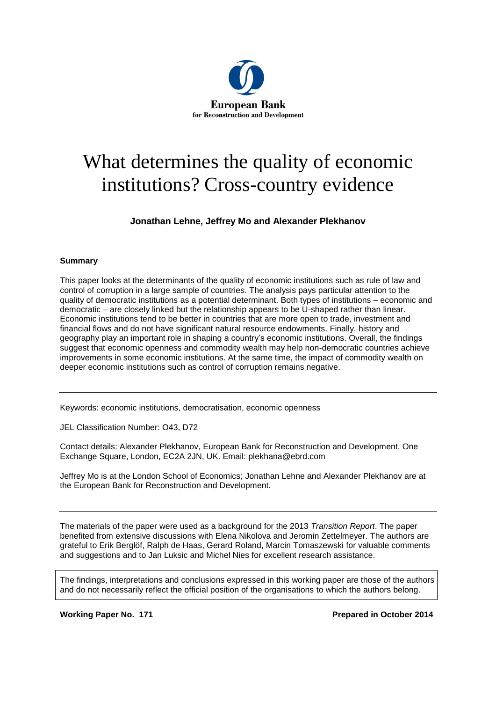

# What determines the quality of economic institutions? Cross-country evidence

## **Jonathan Lehne, Jeffrey Mo and Alexander Plekhanov**

#### **Summary**

This paper looks at the determinants of the quality of economic institutions such as rule of law and control of corruption in a large sample of countries. The analysis pays particular attention to the quality of democratic institutions as a potential determinant. Both types of institutions – economic and democratic – are closely linked but the relationship appears to be U-shaped rather than linear. Economic institutions tend to be better in countries that are more open to trade, investment and financial flows and do not have significant natural resource endowments. Finally, history and geography play an important role in shaping a country's economic institutions. Overall, the findings suggest that economic openness and commodity wealth may help non-democratic countries achieve improvements in some economic institutions. At the same time, the impact of commodity wealth on deeper economic institutions such as control of corruption remains negative.

Keywords: economic institutions, democratisation, economic openness

JEL Classification Number: O43, D72

Contact details: Alexander Plekhanov, European Bank for Reconstruction and Development, One Exchange Square, London, EC2A 2JN, UK. Email: plekhana@ebrd.com

Jeffrey Mo is at the London School of Economics; Jonathan Lehne and Alexander Plekhanov are at the European Bank for Reconstruction and Development.

The materials of the paper were used as a background for the 2013 *Transition Report*. The paper benefited from extensive discussions with Elena Nikolova and Jeromin Zettelmeyer. The authors are grateful to Erik Berglöf, Ralph de Haas, Gerard Roland, Marcin Tomaszewski for valuable comments and suggestions and to Jan Luksic and Michel Nies for excellent research assistance.

The findings, interpretations and conclusions expressed in this working paper are those of the authors and do not necessarily reflect the official position of the organisations to which the authors belong.

**Working Paper No. 171 Prepared in October 2014**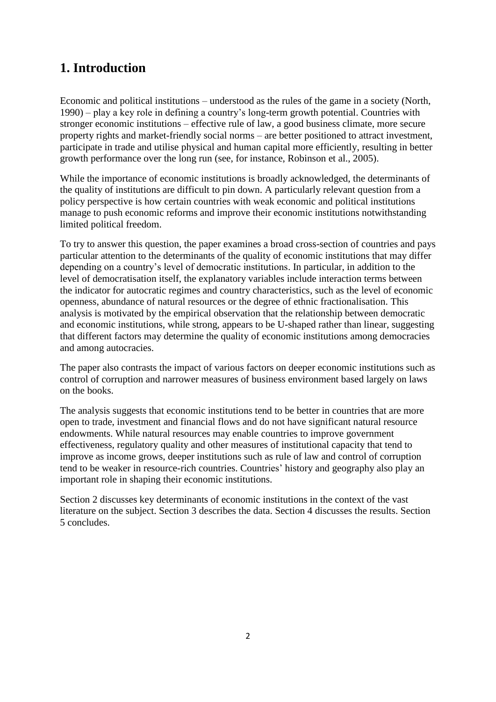# **1. Introduction**

Economic and political institutions – understood as the rules of the game in a society (North, 1990) – play a key role in defining a country's long-term growth potential. Countries with stronger economic institutions – effective rule of law, a good business climate, more secure property rights and market-friendly social norms – are better positioned to attract investment, participate in trade and utilise physical and human capital more efficiently, resulting in better growth performance over the long run (see, for instance, Robinson et al., 2005).

While the importance of economic institutions is broadly acknowledged, the determinants of the quality of institutions are difficult to pin down. A particularly relevant question from a policy perspective is how certain countries with weak economic and political institutions manage to push economic reforms and improve their economic institutions notwithstanding limited political freedom.

To try to answer this question, the paper examines a broad cross-section of countries and pays particular attention to the determinants of the quality of economic institutions that may differ depending on a country's level of democratic institutions. In particular, in addition to the level of democratisation itself, the explanatory variables include interaction terms between the indicator for autocratic regimes and country characteristics, such as the level of economic openness, abundance of natural resources or the degree of ethnic fractionalisation. This analysis is motivated by the empirical observation that the relationship between democratic and economic institutions, while strong, appears to be U-shaped rather than linear, suggesting that different factors may determine the quality of economic institutions among democracies and among autocracies.

The paper also contrasts the impact of various factors on deeper economic institutions such as control of corruption and narrower measures of business environment based largely on laws on the books.

The analysis suggests that economic institutions tend to be better in countries that are more open to trade, investment and financial flows and do not have significant natural resource endowments. While natural resources may enable countries to improve government effectiveness, regulatory quality and other measures of institutional capacity that tend to improve as income grows, deeper institutions such as rule of law and control of corruption tend to be weaker in resource-rich countries. Countries' history and geography also play an important role in shaping their economic institutions.

Section 2 discusses key determinants of economic institutions in the context of the vast literature on the subject. Section 3 describes the data. Section 4 discusses the results. Section 5 concludes.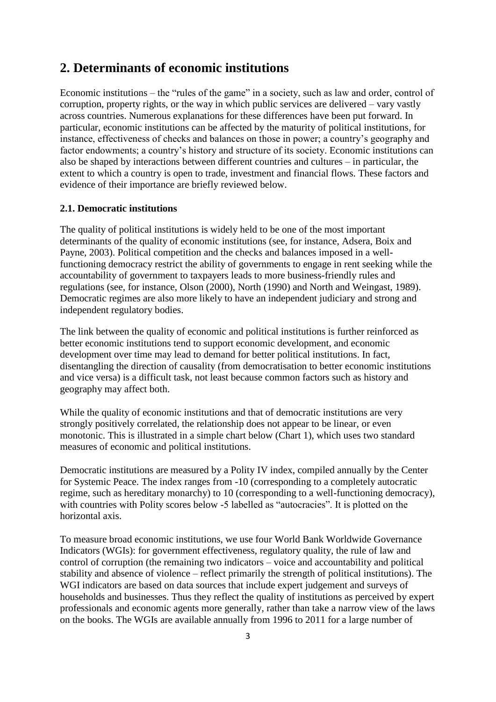## **2. Determinants of economic institutions**

Economic institutions – the "rules of the game" in a society, such as law and order, control of corruption, property rights, or the way in which public services are delivered – vary vastly across countries. Numerous explanations for these differences have been put forward. In particular, economic institutions can be affected by the maturity of political institutions, for instance, effectiveness of checks and balances on those in power; a country's geography and factor endowments; a country's history and structure of its society. Economic institutions can also be shaped by interactions between different countries and cultures – in particular, the extent to which a country is open to trade, investment and financial flows. These factors and evidence of their importance are briefly reviewed below.

#### **2.1. Democratic institutions**

The quality of political institutions is widely held to be one of the most important determinants of the quality of economic institutions (see, for instance, Adsera, Boix and Payne, 2003). Political competition and the checks and balances imposed in a wellfunctioning democracy restrict the ability of governments to engage in rent seeking while the accountability of government to taxpayers leads to more business-friendly rules and regulations (see, for instance, Olson (2000), North (1990) and North and Weingast, 1989). Democratic regimes are also more likely to have an independent judiciary and strong and independent regulatory bodies.

The link between the quality of economic and political institutions is further reinforced as better economic institutions tend to support economic development, and economic development over time may lead to demand for better political institutions. In fact, disentangling the direction of causality (from democratisation to better economic institutions and vice versa) is a difficult task, not least because common factors such as history and geography may affect both.

While the quality of economic institutions and that of democratic institutions are very strongly positively correlated, the relationship does not appear to be linear, or even monotonic. This is illustrated in a simple chart below (Chart 1), which uses two standard measures of economic and political institutions.

Democratic institutions are measured by a Polity IV index, compiled annually by the Center for Systemic Peace. The index ranges from -10 (corresponding to a completely autocratic regime, such as hereditary monarchy) to 10 (corresponding to a well-functioning democracy), with countries with Polity scores below -5 labelled as "autocracies". It is plotted on the horizontal axis.

To measure broad economic institutions, we use four World Bank Worldwide Governance Indicators (WGIs): for government effectiveness, regulatory quality, the rule of law and control of corruption (the remaining two indicators – voice and accountability and political stability and absence of violence – reflect primarily the strength of political institutions). The WGI indicators are based on data sources that include expert judgement and surveys of households and businesses. Thus they reflect the quality of institutions as perceived by expert professionals and economic agents more generally, rather than take a narrow view of the laws on the books. The WGIs are available annually from 1996 to 2011 for a large number of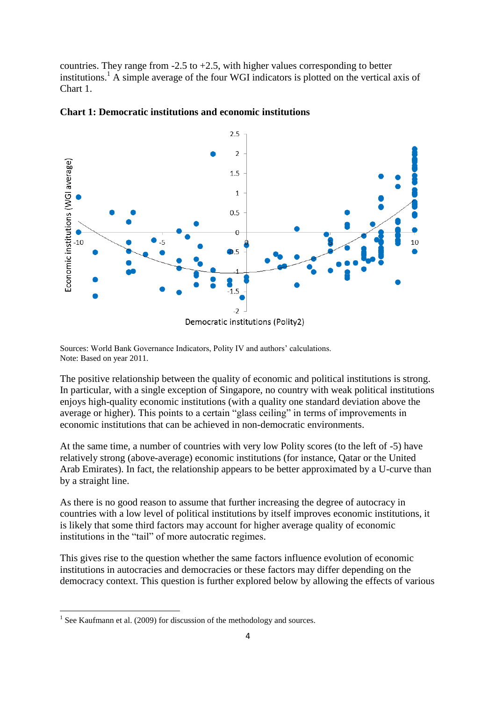countries. They range from  $-2.5$  to  $+2.5$ , with higher values corresponding to better institutions.<sup>1</sup> A simple average of the four WGI indicators is plotted on the vertical axis of Chart 1.



**Chart 1: Democratic institutions and economic institutions**

Sources: World Bank Governance Indicators, Polity IV and authors' calculations. Note: Based on year 2011.

The positive relationship between the quality of economic and political institutions is strong. In particular, with a single exception of Singapore, no country with weak political institutions enjoys high-quality economic institutions (with a quality one standard deviation above the average or higher). This points to a certain "glass ceiling" in terms of improvements in economic institutions that can be achieved in non-democratic environments.

At the same time, a number of countries with very low Polity scores (to the left of -5) have relatively strong (above-average) economic institutions (for instance, Qatar or the United Arab Emirates). In fact, the relationship appears to be better approximated by a U-curve than by a straight line.

As there is no good reason to assume that further increasing the degree of autocracy in countries with a low level of political institutions by itself improves economic institutions, it is likely that some third factors may account for higher average quality of economic institutions in the "tail" of more autocratic regimes.

This gives rise to the question whether the same factors influence evolution of economic institutions in autocracies and democracies or these factors may differ depending on the democracy context. This question is further explored below by allowing the effects of various

 $\overline{a}$ 

Democratic institutions (Polity2)

 $1$  See Kaufmann et al. (2009) for discussion of the methodology and sources.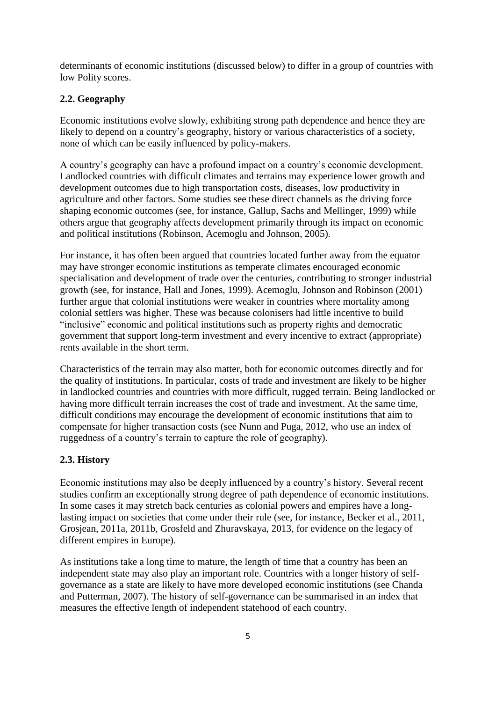determinants of economic institutions (discussed below) to differ in a group of countries with low Polity scores.

## **2.2. Geography**

Economic institutions evolve slowly, exhibiting strong path dependence and hence they are likely to depend on a country's geography, history or various characteristics of a society, none of which can be easily influenced by policy-makers.

A country's geography can have a profound impact on a country's economic development. Landlocked countries with difficult climates and terrains may experience lower growth and development outcomes due to high transportation costs, diseases, low productivity in agriculture and other factors. Some studies see these direct channels as the driving force shaping economic outcomes (see, for instance, Gallup, Sachs and Mellinger, 1999) while others argue that geography affects development primarily through its impact on economic and political institutions (Robinson, Acemoglu and Johnson, 2005).

For instance, it has often been argued that countries located further away from the equator may have stronger economic institutions as temperate climates encouraged economic specialisation and development of trade over the centuries, contributing to stronger industrial growth (see, for instance, Hall and Jones, 1999). Acemoglu, Johnson and Robinson (2001) further argue that colonial institutions were weaker in countries where mortality among colonial settlers was higher. These was because colonisers had little incentive to build "inclusive" economic and political institutions such as property rights and democratic government that support long-term investment and every incentive to extract (appropriate) rents available in the short term.

Characteristics of the terrain may also matter, both for economic outcomes directly and for the quality of institutions. In particular, costs of trade and investment are likely to be higher in landlocked countries and countries with more difficult, rugged terrain. Being landlocked or having more difficult terrain increases the cost of trade and investment. At the same time, difficult conditions may encourage the development of economic institutions that aim to compensate for higher transaction costs (see Nunn and Puga, 2012, who use an index of ruggedness of a country's terrain to capture the role of geography).

#### **2.3. History**

Economic institutions may also be deeply influenced by a country's history. Several recent studies confirm an exceptionally strong degree of path dependence of economic institutions. In some cases it may stretch back centuries as colonial powers and empires have a longlasting impact on societies that come under their rule (see, for instance, Becker et al., 2011, Grosjean, 2011a, 2011b, Grosfeld and Zhuravskaya, 2013, for evidence on the legacy of different empires in Europe).

As institutions take a long time to mature, the length of time that a country has been an independent state may also play an important role. Countries with a longer history of selfgovernance as a state are likely to have more developed economic institutions (see Chanda and Putterman, 2007). The history of self-governance can be summarised in an index that measures the effective length of independent statehood of each country.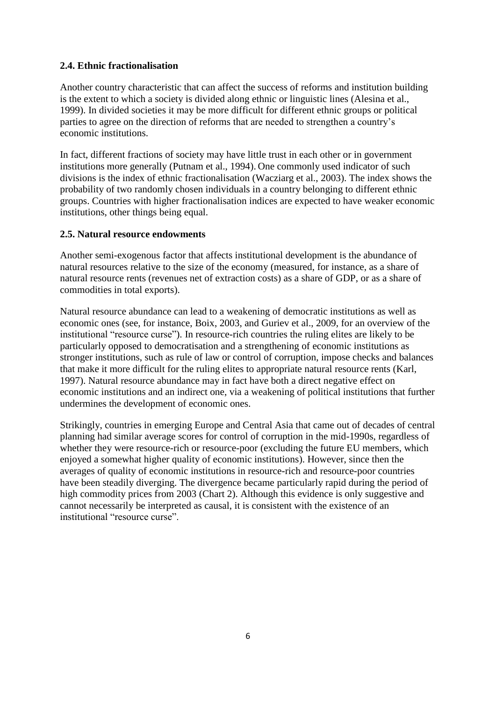## **2.4. Ethnic fractionalisation**

Another country characteristic that can affect the success of reforms and institution building is the extent to which a society is divided along ethnic or linguistic lines (Alesina et al., 1999). In divided societies it may be more difficult for different ethnic groups or political parties to agree on the direction of reforms that are needed to strengthen a country's economic institutions.

In fact, different fractions of society may have little trust in each other or in government institutions more generally (Putnam et al., 1994). One commonly used indicator of such divisions is the index of ethnic fractionalisation (Wacziarg et al., 2003). The index shows the probability of two randomly chosen individuals in a country belonging to different ethnic groups. Countries with higher fractionalisation indices are expected to have weaker economic institutions, other things being equal.

## **2.5. Natural resource endowments**

Another semi-exogenous factor that affects institutional development is the abundance of natural resources relative to the size of the economy (measured, for instance, as a share of natural resource rents (revenues net of extraction costs) as a share of GDP, or as a share of commodities in total exports).

Natural resource abundance can lead to a weakening of democratic institutions as well as economic ones (see, for instance, Boix, 2003, and Guriev et al., 2009, for an overview of the institutional "resource curse"). In resource-rich countries the ruling elites are likely to be particularly opposed to democratisation and a strengthening of economic institutions as stronger institutions, such as rule of law or control of corruption, impose checks and balances that make it more difficult for the ruling elites to appropriate natural resource rents (Karl, 1997). Natural resource abundance may in fact have both a direct negative effect on economic institutions and an indirect one, via a weakening of political institutions that further undermines the development of economic ones.

Strikingly, countries in emerging Europe and Central Asia that came out of decades of central planning had similar average scores for control of corruption in the mid-1990s, regardless of whether they were resource-rich or resource-poor (excluding the future EU members, which enjoyed a somewhat higher quality of economic institutions). However, since then the averages of quality of economic institutions in resource-rich and resource-poor countries have been steadily diverging. The divergence became particularly rapid during the period of high commodity prices from 2003 (Chart 2). Although this evidence is only suggestive and cannot necessarily be interpreted as causal, it is consistent with the existence of an institutional "resource curse".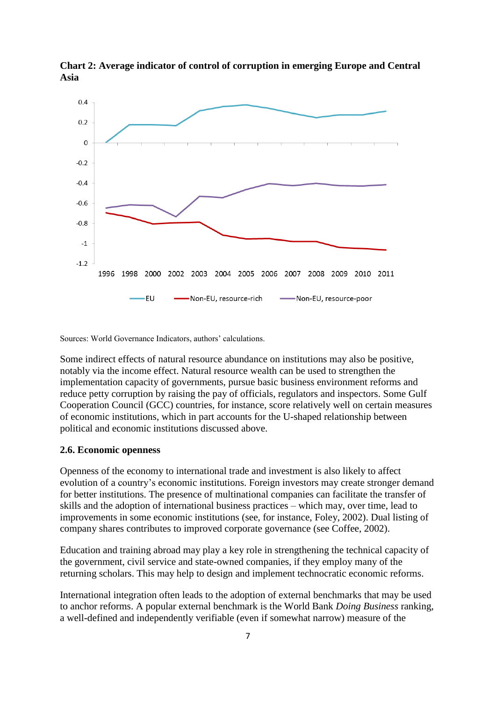

**Chart 2: Average indicator of control of corruption in emerging Europe and Central Asia**

Sources: World Governance Indicators, authors' calculations.

Some indirect effects of natural resource abundance on institutions may also be positive, notably via the income effect. Natural resource wealth can be used to strengthen the implementation capacity of governments, pursue basic business environment reforms and reduce petty corruption by raising the pay of officials, regulators and inspectors. Some Gulf Cooperation Council (GCC) countries, for instance, score relatively well on certain measures of economic institutions, which in part accounts for the U-shaped relationship between political and economic institutions discussed above.

#### **2.6. Economic openness**

Openness of the economy to international trade and investment is also likely to affect evolution of a country's economic institutions. Foreign investors may create stronger demand for better institutions. The presence of multinational companies can facilitate the transfer of skills and the adoption of international business practices – which may, over time, lead to improvements in some economic institutions (see, for instance, Foley, 2002). Dual listing of company shares contributes to improved corporate governance (see Coffee, 2002).

Education and training abroad may play a key role in strengthening the technical capacity of the government, civil service and state-owned companies, if they employ many of the returning scholars. This may help to design and implement technocratic economic reforms.

International integration often leads to the adoption of external benchmarks that may be used to anchor reforms. A popular external benchmark is the World Bank *Doing Business* ranking, a well-defined and independently verifiable (even if somewhat narrow) measure of the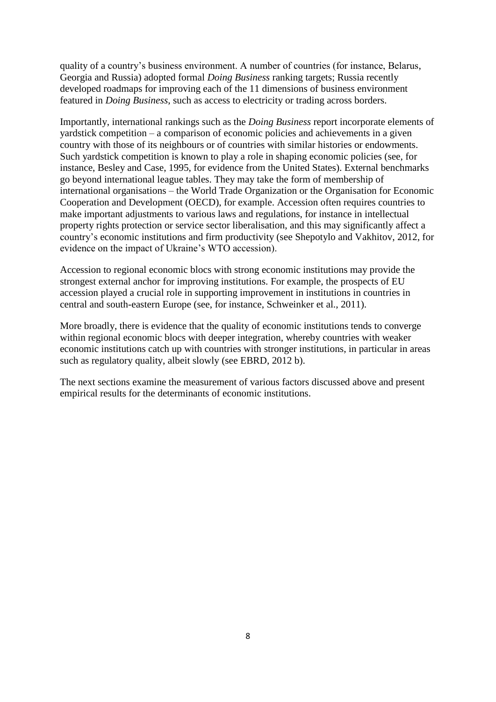quality of a country's business environment. A number of countries (for instance, Belarus, Georgia and Russia) adopted formal *Doing Business* ranking targets; Russia recently developed roadmaps for improving each of the 11 dimensions of business environment featured in *Doing Business*, such as access to electricity or trading across borders.

Importantly, international rankings such as the *Doing Business* report incorporate elements of yardstick competition – a comparison of economic policies and achievements in a given country with those of its neighbours or of countries with similar histories or endowments. Such yardstick competition is known to play a role in shaping economic policies (see, for instance, Besley and Case, 1995, for evidence from the United States). External benchmarks go beyond international league tables. They may take the form of membership of international organisations – the World Trade Organization or the Organisation for Economic Cooperation and Development (OECD), for example. Accession often requires countries to make important adjustments to various laws and regulations, for instance in intellectual property rights protection or service sector liberalisation, and this may significantly affect a country's economic institutions and firm productivity (see Shepotylo and Vakhitov, 2012, for evidence on the impact of Ukraine's WTO accession).

Accession to regional economic blocs with strong economic institutions may provide the strongest external anchor for improving institutions. For example, the prospects of EU accession played a crucial role in supporting improvement in institutions in countries in central and south-eastern Europe (see, for instance, Schweinker et al., 2011).

More broadly, there is evidence that the quality of economic institutions tends to converge within regional economic blocs with deeper integration, whereby countries with weaker economic institutions catch up with countries with stronger institutions, in particular in areas such as regulatory quality, albeit slowly (see EBRD, 2012 b).

The next sections examine the measurement of various factors discussed above and present empirical results for the determinants of economic institutions.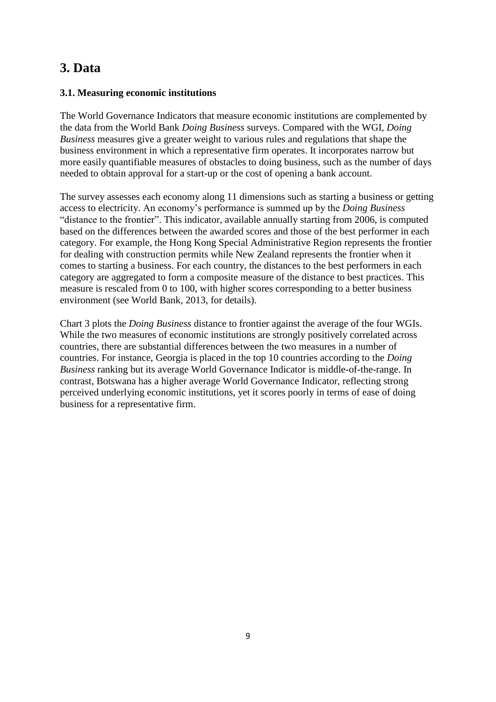# **3. Data**

#### **3.1. Measuring economic institutions**

The World Governance Indicators that measure economic institutions are complemented by the data from the World Bank *Doing Business* surveys. Compared with the WGI, *Doing Business* measures give a greater weight to various rules and regulations that shape the business environment in which a representative firm operates. It incorporates narrow but more easily quantifiable measures of obstacles to doing business, such as the number of days needed to obtain approval for a start-up or the cost of opening a bank account.

The survey assesses each economy along 11 dimensions such as starting a business or getting access to electricity. An economy's performance is summed up by the *Doing Business* "distance to the frontier". This indicator, available annually starting from 2006, is computed based on the differences between the awarded scores and those of the best performer in each category. For example, the Hong Kong Special Administrative Region represents the frontier for dealing with construction permits while New Zealand represents the frontier when it comes to starting a business. For each country, the distances to the best performers in each category are aggregated to form a composite measure of the distance to best practices. This measure is rescaled from 0 to 100, with higher scores corresponding to a better business environment (see World Bank, 2013, for details).

Chart 3 plots the *Doing Business* distance to frontier against the average of the four WGIs. While the two measures of economic institutions are strongly positively correlated across countries, there are substantial differences between the two measures in a number of countries. For instance, Georgia is placed in the top 10 countries according to the *Doing Business* ranking but its average World Governance Indicator is middle-of-the-range. In contrast, Botswana has a higher average World Governance Indicator, reflecting strong perceived underlying economic institutions, yet it scores poorly in terms of ease of doing business for a representative firm.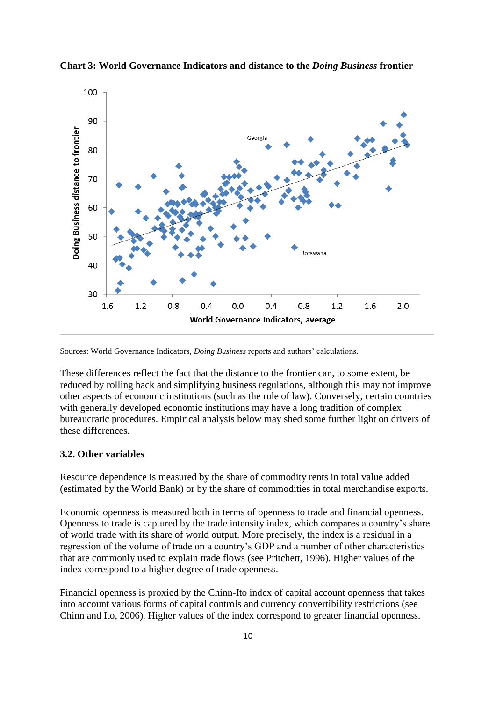

**Chart 3: World Governance Indicators and distance to the** *Doing Business* **frontier**

Sources: World Governance Indicators, *Doing Business* reports and authors' calculations.

These differences reflect the fact that the distance to the frontier can, to some extent, be reduced by rolling back and simplifying business regulations, although this may not improve other aspects of economic institutions (such as the rule of law). Conversely, certain countries with generally developed economic institutions may have a long tradition of complex bureaucratic procedures. Empirical analysis below may shed some further light on drivers of these differences.

#### **3.2. Other variables**

Resource dependence is measured by the share of commodity rents in total value added (estimated by the World Bank) or by the share of commodities in total merchandise exports.

Economic openness is measured both in terms of openness to trade and financial openness. Openness to trade is captured by the trade intensity index, which compares a country's share of world trade with its share of world output. More precisely, the index is a residual in a regression of the volume of trade on a country's GDP and a number of other characteristics that are commonly used to explain trade flows (see Pritchett, 1996). Higher values of the index correspond to a higher degree of trade openness.

Financial openness is proxied by the Chinn-Ito index of capital account openness that takes into account various forms of capital controls and currency convertibility restrictions (see Chinn and Ito, 2006). Higher values of the index correspond to greater financial openness.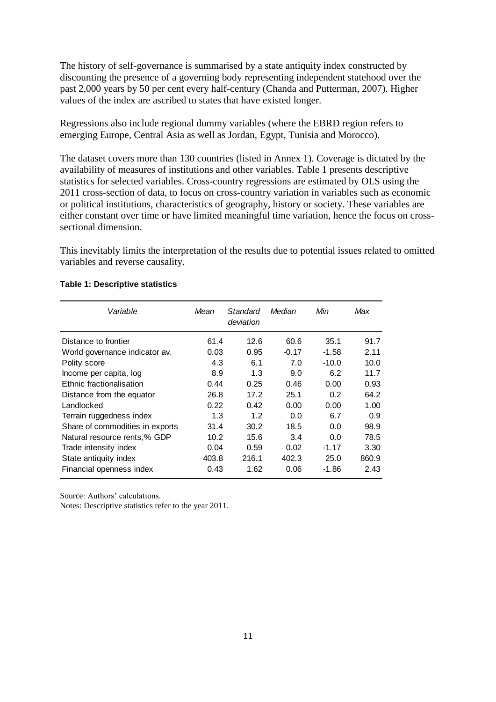The history of self-governance is summarised by a state antiquity index constructed by discounting the presence of a governing body representing independent statehood over the past 2,000 years by 50 per cent every half-century (Chanda and Putterman, 2007). Higher values of the index are ascribed to states that have existed longer.

Regressions also include regional dummy variables (where the EBRD region refers to emerging Europe, Central Asia as well as Jordan, Egypt, Tunisia and Morocco).

The dataset covers more than 130 countries (listed in Annex 1). Coverage is dictated by the availability of measures of institutions and other variables. Table 1 presents descriptive statistics for selected variables. Cross-country regressions are estimated by OLS using the 2011 cross-section of data, to focus on cross-country variation in variables such as economic or political institutions, characteristics of geography, history or society. These variables are either constant over time or have limited meaningful time variation, hence the focus on crosssectional dimension.

This inevitably limits the interpretation of the results due to potential issues related to omitted variables and reverse causality.

| Variable                        | Mean  | Standard<br>deviation | Median  | Min     | Max   |
|---------------------------------|-------|-----------------------|---------|---------|-------|
| Distance to frontier            | 61.4  | 12.6                  | 60.6    | 35.1    | 91.7  |
| World governance indicator av.  | 0.03  | 0.95                  | $-0.17$ | -1.58   | 2.11  |
| Polity score                    | 4.3   | 6.1                   | 7.0     | $-10.0$ | 10.0  |
| Income per capita, log          | 8.9   | 1.3                   | 9.0     | 6.2     | 11.7  |
| Ethnic fractionalisation        | 0.44  | 0.25                  | 0.46    | 0.00    | 0.93  |
| Distance from the equator       | 26.8  | 17.2                  | 25.1    | 0.2     | 64.2  |
| Landlocked                      | 0.22  | 0.42                  | 0.00    | 0.00    | 1.00  |
| Terrain ruggedness index        | 1.3   | 1.2                   | 0.0     | 6.7     | 0.9   |
| Share of commodities in exports | 31.4  | 30.2                  | 18.5    | 0.0     | 98.9  |
| Natural resource rents,% GDP    | 10.2  | 15.6                  | 3.4     | 0.0     | 78.5  |
| Trade intensity index           | 0.04  | 0.59                  | 0.02    | $-1.17$ | 3.30  |
| State antiquity index           | 403.8 | 216.1                 | 402.3   | 25.0    | 860.9 |
| Financial openness index        | 0.43  | 1.62                  | 0.06    | -1.86   | 2.43  |

#### **Table 1: Descriptive statistics**

Source: Authors' calculations.

Notes: Descriptive statistics refer to the year 2011.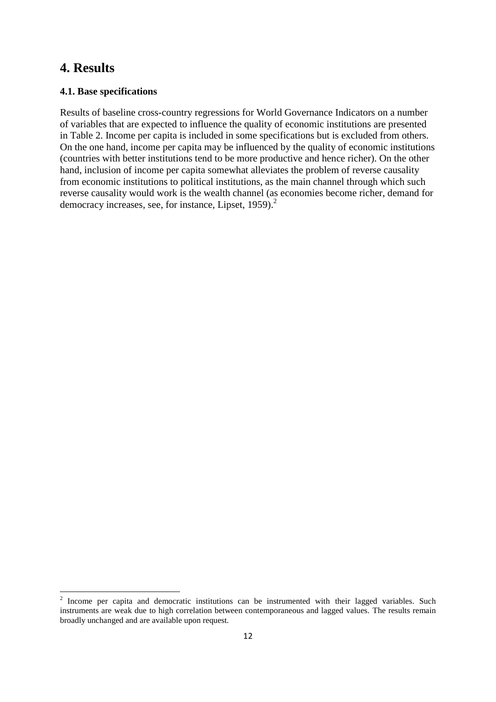# **4. Results**

#### **4.1. Base specifications**

Results of baseline cross-country regressions for World Governance Indicators on a number of variables that are expected to influence the quality of economic institutions are presented in Table 2. Income per capita is included in some specifications but is excluded from others. On the one hand, income per capita may be influenced by the quality of economic institutions (countries with better institutions tend to be more productive and hence richer). On the other hand, inclusion of income per capita somewhat alleviates the problem of reverse causality from economic institutions to political institutions, as the main channel through which such reverse causality would work is the wealth channel (as economies become richer, demand for democracy increases, see, for instance, Lipset, 1959).<sup>2</sup>

<sup>&</sup>lt;sup>2</sup> Income per capita and democratic institutions can be instrumented with their lagged variables. Such instruments are weak due to high correlation between contemporaneous and lagged values. The results remain broadly unchanged and are available upon request.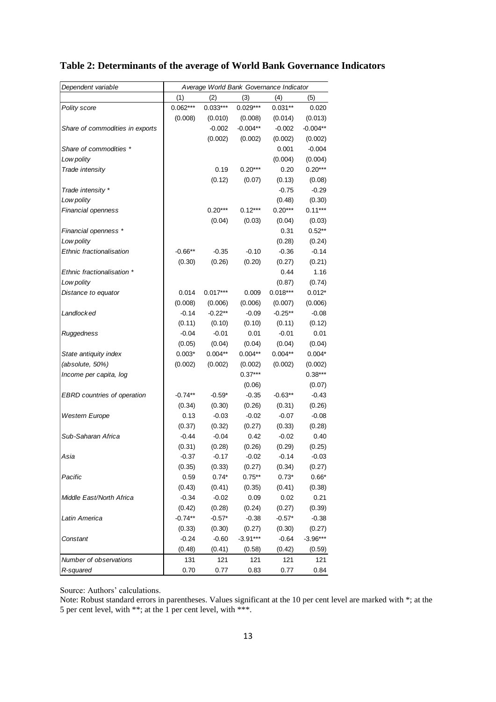## **Table 2: Determinants of the average of World Bank Governance Indicators**

| Dependent variable                 | Average World Bank Governance Indicator |            |            |            |            |
|------------------------------------|-----------------------------------------|------------|------------|------------|------------|
|                                    | (1)                                     | (2)        | (3)        | (4)        | (5)        |
| Polity score                       | $0.062***$                              | $0.033***$ | $0.029***$ | $0.031**$  | 0.020      |
|                                    | (0.008)                                 | (0.010)    | (0.008)    | (0.014)    | (0.013)    |
| Share of commodities in exports    |                                         | $-0.002$   | $-0.004**$ | $-0.002$   | $-0.004**$ |
|                                    |                                         | (0.002)    | (0.002)    | (0.002)    | (0.002)    |
| Share of commodities *             |                                         |            |            | 0.001      | $-0.004$   |
| Low polity                         |                                         |            |            | (0.004)    | (0.004)    |
| Trade intensity                    |                                         | 0.19       | $0.20***$  | 0.20       | $0.20***$  |
|                                    |                                         | (0.12)     | (0.07)     | (0.13)     | (0.08)     |
| Trade intensity *                  |                                         |            |            | $-0.75$    | $-0.29$    |
| Low polity                         |                                         |            |            | (0.48)     | (0.30)     |
| Financial openness                 |                                         | $0.20***$  | $0.12***$  | $0.20***$  | $0.11***$  |
|                                    |                                         | (0.04)     | (0.03)     | (0.04)     | (0.03)     |
| <b>Financial openness</b> *        |                                         |            |            | 0.31       | $0.52**$   |
| Low polity                         |                                         |            |            | (0.28)     | (0.24)     |
| Ethnic fractionalisation           | $-0.66**$                               | $-0.35$    | $-0.10$    | $-0.36$    | $-0.14$    |
|                                    | (0.30)                                  | (0.26)     | (0.20)     | (0.27)     | (0.21)     |
| Ethnic fractionalisation *         |                                         |            |            | 0.44       | 1.16       |
| Low polity                         |                                         |            |            | (0.87)     | (0.74)     |
| Distance to equator                | 0.014                                   | $0.017***$ | 0.009      | $0.018***$ | $0.012*$   |
|                                    | (0.008)                                 | (0.006)    | (0.006)    | (0.007)    | (0.006)    |
| Landlocked                         | $-0.14$                                 | $-0.22**$  | $-0.09$    | $-0.25**$  | $-0.08$    |
|                                    | (0.11)                                  | (0.10)     | (0.10)     | (0.11)     | (0.12)     |
| Ruggedness                         | $-0.04$                                 | $-0.01$    | 0.01       | $-0.01$    | 0.01       |
|                                    | (0.05)                                  | (0.04)     | (0.04)     | (0.04)     | (0.04)     |
| State antiquity index              | $0.003*$                                | $0.004**$  | $0.004**$  | $0.004**$  | $0.004*$   |
| (absolute, 50%)                    | (0.002)                                 | (0.002)    | (0.002)    | (0.002)    | (0.002)    |
| Income per capita, log             |                                         |            | $0.37***$  |            | $0.38***$  |
|                                    |                                         |            | (0.06)     |            | (0.07)     |
| <b>EBRD countries of operation</b> | $-0.74**$                               | $-0.59*$   | $-0.35$    | $-0.63**$  | $-0.43$    |
|                                    | (0.34)                                  | (0.30)     | (0.26)     | (0.31)     | (0.26)     |
| <b>Western Europe</b>              | 0.13                                    | $-0.03$    | $-0.02$    | $-0.07$    | $-0.08$    |
|                                    | (0.37)                                  | (0.32)     | (0.27)     | (0.33)     | (0.28)     |
| Sub-Saharan Africa                 | $-0.44$                                 | $-0.04$    | 0.42       | $-0.02$    | 0.40       |
|                                    | (0.31)                                  | (0.28)     | (0.26)     | (0.29)     | (0.25)     |
| Asia                               | $-0.37$                                 | $-0.17$    | $-0.02$    | $-0.14$    | $-0.03$    |
|                                    | (0.35)                                  | (0.33)     | (0.27)     | (0.34)     | (0.27)     |
| Pacific                            | 0.59                                    | $0.74*$    | $0.75***$  | $0.73*$    | $0.66*$    |
|                                    | (0.43)                                  | (0.41)     | (0.35)     | (0.41)     | (0.38)     |
| Middle East/North Africa           | $-0.34$                                 | $-0.02$    | 0.09       | 0.02       | 0.21       |
|                                    | (0.42)                                  | (0.28)     | (0.24)     | (0.27)     | (0.39)     |
| Latin America                      | $-0.74**$                               | $-0.57*$   | $-0.38$    | $-0.57*$   | $-0.38$    |
|                                    | (0.33)                                  | (0.30)     | (0.27)     | (0.30)     | (0.27)     |
| Constant                           | $-0.24$                                 | $-0.60$    | $-3.91***$ | $-0.64$    | $-3.96***$ |
|                                    | (0.48)                                  | (0.41)     | (0.58)     | (0.42)     | (0.59)     |
| Number of observations             | 131                                     | 121        | 121        | 121        | 121        |
| R-squared                          | 0.70                                    | 0.77       | 0.83       | 0.77       | 0.84       |
|                                    |                                         |            |            |            |            |

Source: Authors' calculations.

Note: Robust standard errors in parentheses. Values significant at the 10 per cent level are marked with \*; at the 5 per cent level, with \*\*; at the 1 per cent level, with \*\*\*.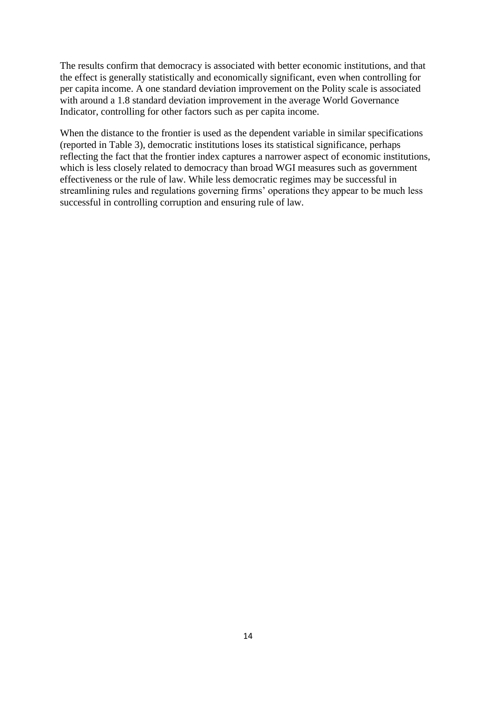The results confirm that democracy is associated with better economic institutions, and that the effect is generally statistically and economically significant, even when controlling for per capita income. A one standard deviation improvement on the Polity scale is associated with around a 1.8 standard deviation improvement in the average World Governance Indicator, controlling for other factors such as per capita income.

When the distance to the frontier is used as the dependent variable in similar specifications (reported in Table 3), democratic institutions loses its statistical significance, perhaps reflecting the fact that the frontier index captures a narrower aspect of economic institutions, which is less closely related to democracy than broad WGI measures such as government effectiveness or the rule of law. While less democratic regimes may be successful in streamlining rules and regulations governing firms' operations they appear to be much less successful in controlling corruption and ensuring rule of law.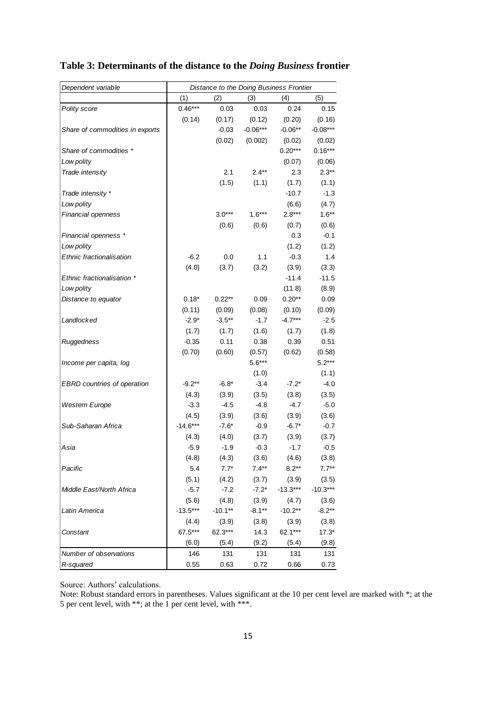## **Table 3: Determinants of the distance to the** *Doing Business* **frontier**

| Dependent variable                 | Distance to the Doing Business Frontier |            |            |            |            |
|------------------------------------|-----------------------------------------|------------|------------|------------|------------|
|                                    | (1)                                     | (2)        | (3)        | (4)        | (5)        |
| Polity score                       | $0.46***$                               | 0.03       | 0.03       | 0.24       | 0.15       |
|                                    | (0.14)                                  | (0.17)     | (0.12)     | (0.20)     | (0.16)     |
| Share of commodities in exports    |                                         | $-0.03$    | $-0.06***$ | $-0.06**$  | $-0.08***$ |
|                                    |                                         | (0.02)     | (0.002)    | (0.02)     | (0.02)     |
| Share of commodities *             |                                         |            |            | $0.20***$  | $0.16***$  |
| Low polity                         |                                         |            |            | (0.07)     | (0.06)     |
| Trade intensity                    |                                         | 2.1        | $2.4**$    | 2.3        | $2.3**$    |
|                                    |                                         | (1.5)      | (1.1)      | (1.7)      | (1.1)      |
| Trade intensity *                  |                                         |            |            | $-10.7$    | $-1.3$     |
| Low polity                         |                                         |            |            | (6.6)      | (4.7)      |
| Financial openness                 |                                         | $3.0***$   | $1.6***$   | $2.8***$   | $1.6***$   |
|                                    |                                         | (0.6)      | (0.6)      | (0.7)      | (0.6)      |
| Financial openness *               |                                         |            |            | 0.3        | $-0.1$     |
| Low polity                         |                                         |            |            | (1.2)      | (1.2)      |
| Ethnic fractionalisation           | $-6.2$                                  | 0.0        | 1.1        | $-0.3$     | 1.4        |
|                                    | (4.0)                                   | (3.7)      | (3.2)      | (3.9)      | (3.3)      |
| Ethnic fractionalisation *         |                                         |            |            | $-11.4$    | $-11.5$    |
| Low polity                         |                                         |            |            | (11.8)     | (8.9)      |
| Distance to equator                | $0.18*$                                 | $0.22***$  | 0.09       | $0.20**$   | 0.09       |
|                                    | (0.11)                                  | (0.09)     | (0.08)     | (0.10)     | (0.09)     |
| Landlocked                         | $-2.9*$                                 | $-3.5**$   | $-1.7$     | $-4.7***$  | $-2.5$     |
|                                    | (1.7)                                   | (1.7)      | (1.6)      | (1.7)      | (1.8)      |
| Ruggedness                         | $-0.35$                                 | 0.11       | 0.38       | 0.39       | 0.51       |
|                                    | (0.70)                                  | (0.60)     | (0.57)     | (0.62)     | (0.58)     |
| Income per capita, log             |                                         |            | $5.6***$   |            | $5.2***$   |
|                                    |                                         |            | (1.0)      |            | (1.1)      |
| <b>EBRD</b> countries of operation | $-9.2**$                                | $-6.8*$    | $-3.4$     | $-7.2*$    | $-4.0$     |
|                                    | (4.3)                                   | (3.9)      | (3.5)      | (3.8)      | (3.5)      |
| <b>Western Europe</b>              | $-3.3$                                  | $-4.5$     | $-4.8$     | $-4.7$     | $-5.0$     |
|                                    | (4.5)                                   | (3.9)      | (3.6)      | (3.9)      | (3.6)      |
| Sub-Saharan Africa                 | $-14.6***$                              | $-7.6*$    | $-0.9$     | $-6.7*$    | $-0.7$     |
|                                    | (4.3)                                   | (4.0)      | (3.7)      | (3.9)      | (3.7)      |
| Asia                               | $-5.9$                                  | $-1.9$     | $-0.3$     | $-1.7$     | $-0.5$     |
|                                    | (4.8)                                   | (4.3)      | (3.6)      | (4.6)      | (3.8)      |
| Pacific                            | 5.4                                     | $7.7*$     | $7.4***$   | $8.2**$    | $7.7***$   |
|                                    | (5.1)                                   | (4.2)      | (3.7)      | (3.9)      | (3.5)      |
| Middle East/North Africa           | $-5.7$                                  | $-7.2$     | $-7.2*$    | $-13.3***$ | $-10.3***$ |
|                                    | (5.6)                                   | (4.8)      | (3.9)      | (4.7)      | (3.6)      |
| Latin America                      | $-13.5***$                              | $-10.1***$ | $-8.1***$  | $-10.2**$  | $-8.2**$   |
|                                    | (4.4)                                   | (3.9)      | (3.8)      | (3.9)      | (3.8)      |
| Constant                           | 67.5***                                 | 62.3***    | 14.3       | 62.1***    | $17.3*$    |
|                                    | (6.0)                                   | (5.4)      | (9.2)      | (5.4)      | (9.8)      |
| Number of observations             | 146                                     | 131        | 131        | 131        | 131        |
| R-squared                          | 0.55                                    | 0.63       | 0.72       | 0.66       | 0.73       |
|                                    |                                         |            |            |            |            |

Source: Authors' calculations.

Note: Robust standard errors in parentheses. Values significant at the 10 per cent level are marked with \*; at the 5 per cent level, with \*\*; at the 1 per cent level, with \*\*\*.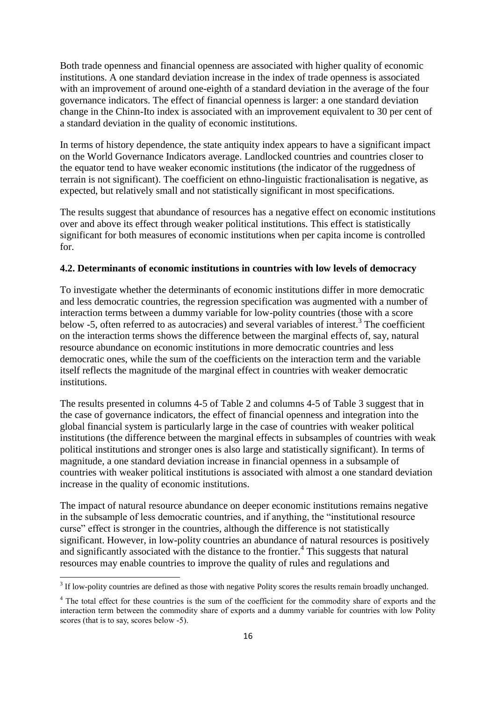Both trade openness and financial openness are associated with higher quality of economic institutions. A one standard deviation increase in the index of trade openness is associated with an improvement of around one-eighth of a standard deviation in the average of the four governance indicators. The effect of financial openness is larger: a one standard deviation change in the Chinn-Ito index is associated with an improvement equivalent to 30 per cent of a standard deviation in the quality of economic institutions.

In terms of history dependence, the state antiquity index appears to have a significant impact on the World Governance Indicators average. Landlocked countries and countries closer to the equator tend to have weaker economic institutions (the indicator of the ruggedness of terrain is not significant). The coefficient on ethno-linguistic fractionalisation is negative, as expected, but relatively small and not statistically significant in most specifications.

The results suggest that abundance of resources has a negative effect on economic institutions over and above its effect through weaker political institutions. This effect is statistically significant for both measures of economic institutions when per capita income is controlled for.

#### **4.2. Determinants of economic institutions in countries with low levels of democracy**

To investigate whether the determinants of economic institutions differ in more democratic and less democratic countries, the regression specification was augmented with a number of interaction terms between a dummy variable for low-polity countries (those with a score below  $-5$ , often referred to as autocracies) and several variables of interest.<sup>3</sup> The coefficient on the interaction terms shows the difference between the marginal effects of, say, natural resource abundance on economic institutions in more democratic countries and less democratic ones, while the sum of the coefficients on the interaction term and the variable itself reflects the magnitude of the marginal effect in countries with weaker democratic institutions.

The results presented in columns 4-5 of Table 2 and columns 4-5 of Table 3 suggest that in the case of governance indicators, the effect of financial openness and integration into the global financial system is particularly large in the case of countries with weaker political institutions (the difference between the marginal effects in subsamples of countries with weak political institutions and stronger ones is also large and statistically significant). In terms of magnitude, a one standard deviation increase in financial openness in a subsample of countries with weaker political institutions is associated with almost a one standard deviation increase in the quality of economic institutions.

The impact of natural resource abundance on deeper economic institutions remains negative in the subsample of less democratic countries, and if anything, the "institutional resource curse" effect is stronger in the countries, although the difference is not statistically significant. However, in low-polity countries an abundance of natural resources is positively and significantly associated with the distance to the frontier.<sup>4</sup> This suggests that natural resources may enable countries to improve the quality of rules and regulations and

<sup>&</sup>lt;sup>3</sup> If low-polity countries are defined as those with negative Polity scores the results remain broadly unchanged.

<sup>&</sup>lt;sup>4</sup> The total effect for these countries is the sum of the coefficient for the commodity share of exports and the interaction term between the commodity share of exports and a dummy variable for countries with low Polity scores (that is to say, scores below -5).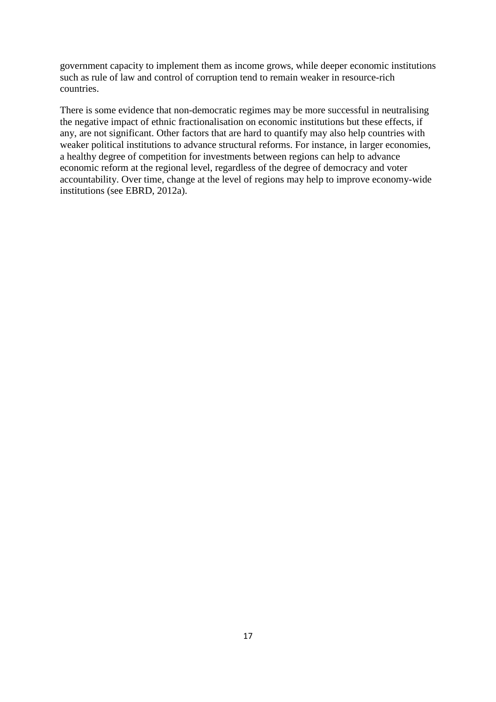government capacity to implement them as income grows, while deeper economic institutions such as rule of law and control of corruption tend to remain weaker in resource-rich countries.

There is some evidence that non-democratic regimes may be more successful in neutralising the negative impact of ethnic fractionalisation on economic institutions but these effects, if any, are not significant. Other factors that are hard to quantify may also help countries with weaker political institutions to advance structural reforms. For instance, in larger economies, a healthy degree of competition for investments between regions can help to advance economic reform at the regional level, regardless of the degree of democracy and voter accountability. Over time, change at the level of regions may help to improve economy-wide institutions (see EBRD, 2012a).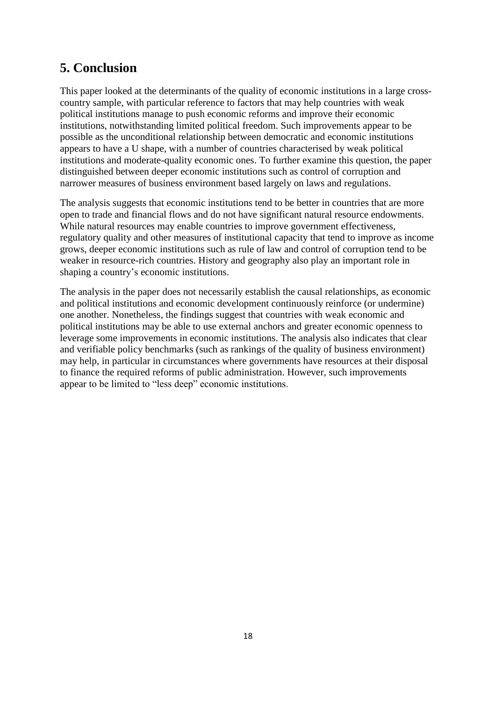# **5. Conclusion**

This paper looked at the determinants of the quality of economic institutions in a large crosscountry sample, with particular reference to factors that may help countries with weak political institutions manage to push economic reforms and improve their economic institutions, notwithstanding limited political freedom. Such improvements appear to be possible as the unconditional relationship between democratic and economic institutions appears to have a U shape, with a number of countries characterised by weak political institutions and moderate-quality economic ones. To further examine this question, the paper distinguished between deeper economic institutions such as control of corruption and narrower measures of business environment based largely on laws and regulations.

The analysis suggests that economic institutions tend to be better in countries that are more open to trade and financial flows and do not have significant natural resource endowments. While natural resources may enable countries to improve government effectiveness, regulatory quality and other measures of institutional capacity that tend to improve as income grows, deeper economic institutions such as rule of law and control of corruption tend to be weaker in resource-rich countries. History and geography also play an important role in shaping a country's economic institutions.

The analysis in the paper does not necessarily establish the causal relationships, as economic and political institutions and economic development continuously reinforce (or undermine) one another. Nonetheless, the findings suggest that countries with weak economic and political institutions may be able to use external anchors and greater economic openness to leverage some improvements in economic institutions. The analysis also indicates that clear and verifiable policy benchmarks (such as rankings of the quality of business environment) may help, in particular in circumstances where governments have resources at their disposal to finance the required reforms of public administration. However, such improvements appear to be limited to "less deep" economic institutions.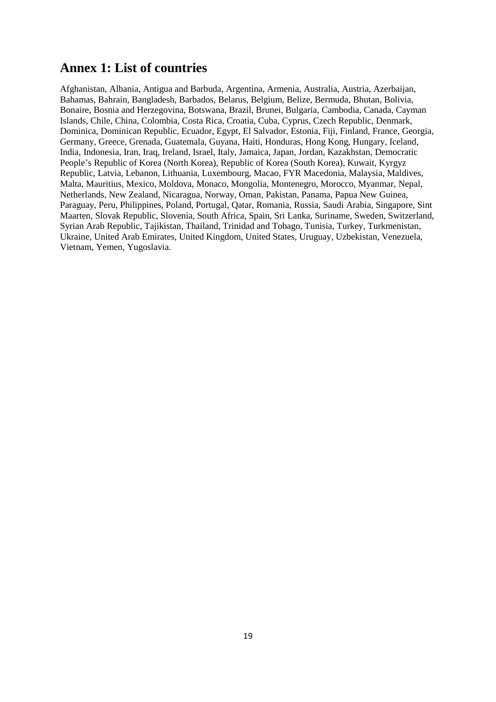# **Annex 1: List of countries**

Afghanistan, Albania, Antigua and Barbuda, Argentina, Armenia, Australia, Austria, Azerbaijan, Bahamas, Bahrain, Bangladesh, Barbados, Belarus, Belgium, Belize, Bermuda, Bhutan, Bolivia, Bonaire, Bosnia and Herzegovina, Botswana, Brazil, Brunei, Bulgaria, Cambodia, Canada, Cayman Islands, Chile, China, Colombia, Costa Rica, Croatia, Cuba, Cyprus, Czech Republic, Denmark, Dominica, Dominican Republic, Ecuador, Egypt, El Salvador, Estonia, Fiji, Finland, France, Georgia, Germany, Greece, Grenada, Guatemala, Guyana, Haiti, Honduras, Hong Kong, Hungary, Iceland, India, Indonesia, Iran, Iraq, Ireland, Israel, Italy, Jamaica, Japan, Jordan, Kazakhstan, Democratic People's Republic of Korea (North Korea), Republic of Korea (South Korea), Kuwait, Kyrgyz Republic, Latvia, Lebanon, Lithuania, Luxembourg, Macao, FYR Macedonia, Malaysia, Maldives, Malta, Mauritius, Mexico, Moldova, Monaco, Mongolia, Montenegro, Morocco, Myanmar, Nepal, Netherlands, New Zealand, Nicaragua, Norway, Oman, Pakistan, Panama, Papua New Guinea, Paraguay, Peru, Philippines, Poland, Portugal, Qatar, Romania, Russia, Saudi Arabia, Singapore, Sint Maarten, Slovak Republic, Slovenia, South Africa, Spain, Sri Lanka, Suriname, Sweden, Switzerland, Syrian Arab Republic, Tajikistan, Thailand, Trinidad and Tobago, Tunisia, Turkey, Turkmenistan, Ukraine, United Arab Emirates, United Kingdom, United States, Uruguay, Uzbekistan, Venezuela, Vietnam, Yemen, Yugoslavia.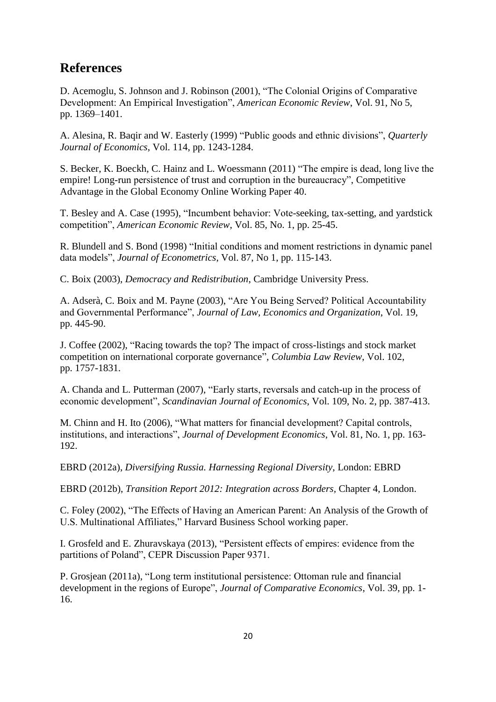## **References**

D. Acemoglu, S. Johnson and J. Robinson (2001), "The Colonial Origins of Comparative Development: An Empirical Investigation", *American Economic Review*, Vol. 91, No 5, pp. 1369–1401.

A. Alesina, R. Baqir and W. Easterly (1999) "Public goods and ethnic divisions", *Quarterly Journal of Economics*, Vol. 114, pp. 1243-1284.

S. Becker, K. Boeckh, C. Hainz and L. Woessmann (2011) "The empire is dead, long live the empire! Long-run persistence of trust and corruption in the bureaucracy", Competitive Advantage in the Global Economy Online Working Paper 40.

T. Besley and A. Case (1995), "Incumbent behavior: Vote-seeking, tax-setting, and yardstick competition", *American Economic Review*, Vol. 85, No. 1, pp. 25-45.

R. Blundell and S. Bond (1998) "Initial conditions and moment restrictions in dynamic panel data models", *Journal of Econometrics*, Vol. 87, No 1, pp. 115-143.

C. Boix (2003), *Democracy and Redistribution*, Cambridge University Press.

A. Adserà, C. Boix and M. Payne (2003), "Are You Being Served? Political Accountability and Governmental Performance", *Journal of Law, Economics and Organization*, Vol. 19, pp. 445-90.

J. Coffee (2002), "Racing towards the top? The impact of cross-listings and stock market competition on international corporate governance", *Columbia Law Review*, Vol. 102, pp. 1757-1831.

A. Chanda and L. Putterman (2007), "Early starts, reversals and catch-up in the process of economic development", *Scandinavian Journal of Economics*, Vol. 109, No. 2, pp. 387-413.

M. Chinn and H. Ito (2006), "What matters for financial development? Capital controls, institutions, and interactions", *Journal of Development Economics*, Vol. 81, No. 1, pp. 163- 192.

EBRD (2012a), *Diversifying Russia. Harnessing Regional Diversity*, London: EBRD

EBRD (2012b), *Transition Report 2012: Integration across Borders,* Chapter 4, London.

C. Foley (2002), "The Effects of Having an American Parent: An Analysis of the Growth of U.S. Multinational Affiliates," Harvard Business School working paper.

I. Grosfeld and E. Zhuravskaya (2013), "Persistent effects of empires: evidence from the partitions of Poland", CEPR Discussion Paper 9371.

P. Grosjean (2011a), "Long term institutional persistence: Ottoman rule and financial development in the regions of Europe", *Journal of Comparative Economics*, Vol. 39, pp. 1- 16.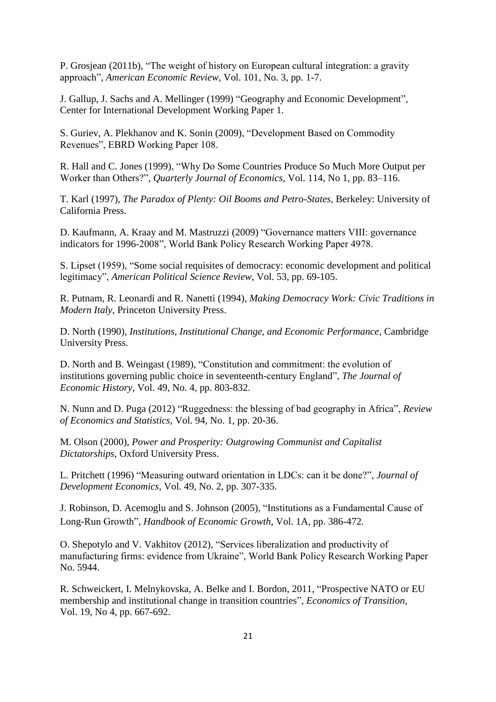P. Grosjean (2011b), "The weight of history on European cultural integration: a gravity approach", *American Economic Review*, Vol. 101, No. 3, pp. 1-7.

J. Gallup, J. Sachs and A. Mellinger (1999) "Geography and Economic Development", Center for International Development Working Paper 1.

S. Guriev, A. Plekhanov and K. Sonin (2009), "Development Based on Commodity Revenues", EBRD Working Paper 108.

R. Hall and C. Jones (1999), "Why Do Some Countries Produce So Much More Output per Worker than Others?", *Quarterly Journal of Economics*, Vol. 114, No 1, pp. 83–116.

T. Karl (1997), *The Paradox of Plenty: Oil Booms and Petro-States*, Berkeley: University of California Press.

D. Kaufmann, A. Kraay and M. Mastruzzi (2009) "Governance matters VIII: governance indicators for 1996-2008", World Bank Policy Research Working Paper 4978.

S. Lipset (1959), "Some social requisites of democracy: economic development and political legitimacy", *American Political Science Review*, Vol. 53, pp. 69-105.

R. Putnam, R. Leonardi and R. Nanetti (1994), *Making Democracy Work: Civic Traditions in Modern Italy*, Princeton University Press.

D. North (1990), *Institutions, Institutional Change, and Economic Performance*, Cambridge University Press.

D. North and B. Weingast (1989), "Constitution and commitment: the evolution of institutions governing public choice in seventeenth-century England", *The Journal of Economic History*, Vol. 49, No. 4, pp. 803-832.

N. Nunn and D. Puga (2012) "Ruggedness: the blessing of bad geography in Africa", *Review of Economics and Statistics*, Vol. 94, No. 1, pp. 20-36.

M. Olson (2000), *Power and Prosperity: Outgrowing Communist and Capitalist Dictatorships*, Oxford University Press.

L. Pritchett (1996) "Measuring outward orientation in LDCs: can it be done?", *Journal of Development Economics*, Vol. 49, No. 2, pp. 307-335.

J. Robinson, D. Acemoglu and S. Johnson (2005), "Institutions as a Fundamental Cause of Long-Run Growth", *Handbook of Economic Growth*, Vol. 1A, pp. 386-472.

O. Shepotylo and V. Vakhitov (2012), "Services liberalization and productivity of manufacturing firms: evidence from Ukraine", World Bank Policy Research Working Paper No. 5944.

R. Schweickert, I. Melnykovska, A. Belke and I. Bordon, 2011, "Prospective NATO or EU membership and institutional change in transition countries", *Economics of Transition*, Vol. 19, No 4, pp. 667-692.